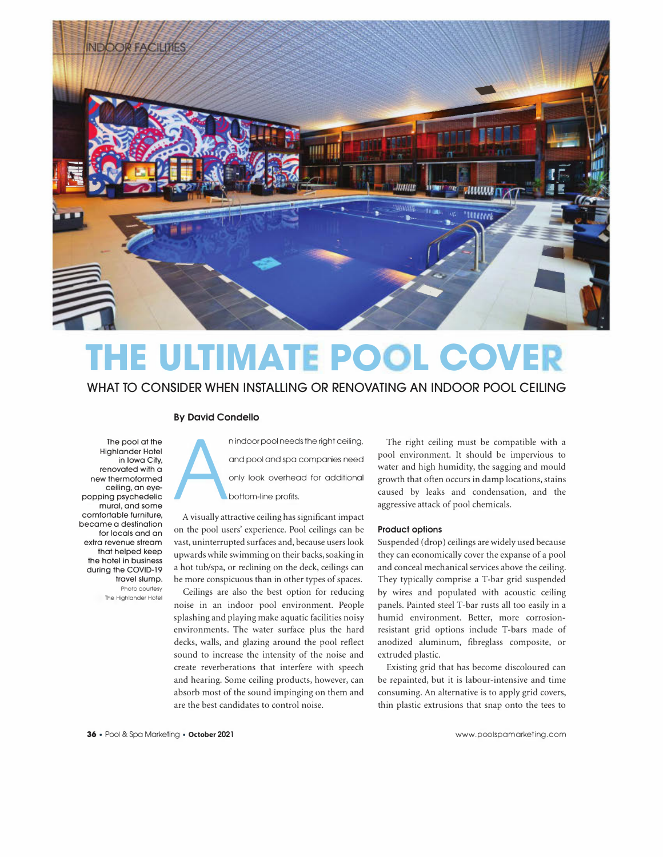

## **THE ULTIMATE POOL COVE**

### **WHAT TO CONSIDER WHEN INSTALLING OR RENOVATING AN INDOOR POOL CEILING**

#### **By David Condello**

The pool at the Highlander Hotel in Iowa City, renovated with a new thermoformed ceiling, an eyepopping psychedelic mural, and some comfortable furniture, became a destination for locals and an extra revenue stream that helped keep the hotel in business during the COVID-19 travel slump. Photo courtesy The Highlander Hotel

A n indoor pool needs the right ceiling, and pool and spa companies need only look overhead for additional bottom-line profits.

A visually attractive ceiling has significant impact on the pool users' experience. Pool ceilings can be vast, uninterrupted surfaces and, because users look upwards while swimming on their backs, soaking in a hot tub/spa, or reclining on the deck, ceilings can be more conspicuous than in other types of spaces.

Ceilings are also the best option for reducing noise in an indoor pool environment. People splashing and playing make aquatic facilities noisy environments. The water surface plus the hard decks, walls, and glazing around the pool reflect sound to increase the intensity of the noise and create reverberations that interfere with speech and hearing. Some ceiling products, however, can absorb most of the sound impinging on them and are the best candidates to control noise.

The right ceiling must be compatible with a pool environment. It should be impervious to water and high humidity, the sagging and mould growth that often occurs in damp locations, stains caused by leaks and condensation, and the aggressive attack of pool chemicals.

#### **Product options**

Suspended (drop) ceilings are widely used because they can economically cover the expanse of a pool and conceal mechanical services above the ceiling. They typically comprise a T-bar grid suspended by wires and populated with acoustic ceiling panels. Painted steel T-bar rusts all too easily in a humid environment. Better, more corrosionresistant grid options include T-bars made of anodized aluminum, fibreglass composite, or extruded plastic.

Existing grid that has become discoloured can be repainted, but it is labour-intensive and time consuming. An alternative is to apply grid covers, thin plastic extrusions that snap onto the tees to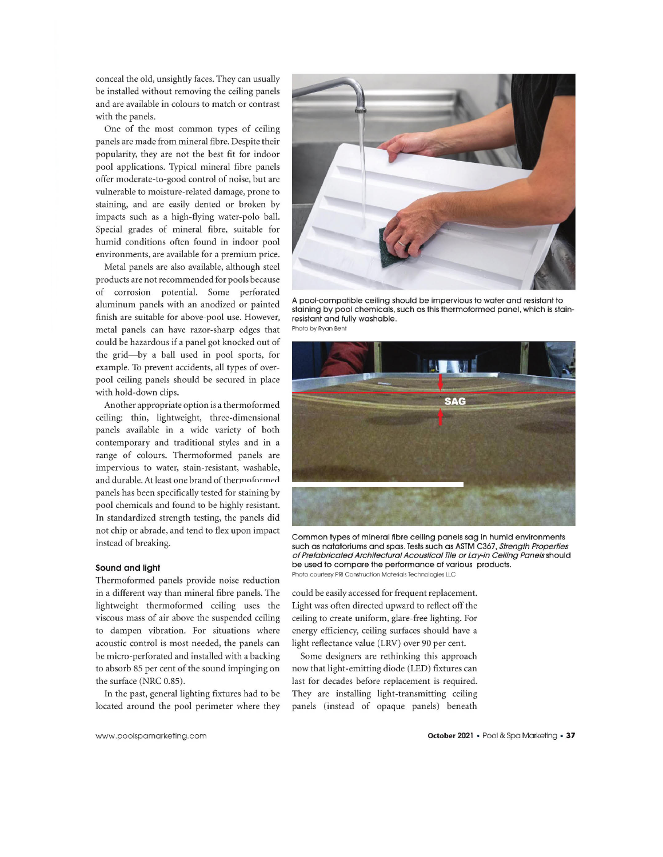conceal the old, unsightly faces. They can usually be installed without removing the ceiling panels and are available in colours to match or contrast with the panels.

One of the most common types of ceiling panels are made from mineral fibre. Despite their popularity, they are not the best fit for indoor pool applications. Typical mineral fibre panels offer moderate-to-good control of noise, but are vulnerable to moisture-related damage, prone to staining, and are easily dented or broken by impacts such as a high-flying water-polo ball. Special grades of mineral fibre, suitable for humid conditions often found in indoor pool environments, are available for a premium price.

Metal panels are also available, although steel products are not recommended for pools because of corrosion potential. Some perforated aluminum panels with an anodized or painted finish are suitable for above-pool use. However, metal panels can have razor-sharp edges that could be hazardous if a panel got knocked out of the grid-by a ball used in pool sports, for example. To prevent accidents, all types of overpool ceiling panels should be secured in place with hold-down clips.

Another appropriate option is a thermoformed ceiling: thin, lightweight, three-dimensional panels available in a wide variety of both contemporary and traditional styles and in a range of colours. Thermoformed panels are impervious to water, stain-resistant, washable, and durable. At least one brand of thermoformed panels has been specifically tested for staining by pool chemicals and found to be highly resistant. In standardized strength testing, the panels did not chip or abrade, and tend to flex upon impact instead of breaking.

#### **Sound and light**

Thermoformed panels provide noise reduction in a different way than mineral fibre panels. The lightweight thermoformed ceiling uses the viscous mass of air above the suspended ceiling to dampen vibration. For situations where acoustic control is most needed, the panels can be micro-perforated and installed with a backing to absorb 85 per cent of the sound impinging on the surface (NRC 0.85).

In the past, general lighting fixtures had to be located around the pool perimeter where they



A pool-compatible ceiling should be impervious to water and resistant to staining by pool chemicals, such as this thermoformed panel, which is stainresistant and fully washable. **Photo by Ryon Bent** 



Common types of mineral fibre ceiling panels sag in humid environments such as natatoriums and spas. Tests such as ASTM C367, Strength Properties of Prefabricated Architectural Acoustical Tile or Lay-in Ceiling Panels should be used to compare the performance of various products. **Photo courtesy PRI Construction Materials Technologies LLC** 

could be easily accessed for frequent replacement. Light was often directed upward to reflect off the ceiling to create uniform, glare-free lighting. For energy efficiency, ceiling surfaces should have a light reflectance value (LRV) over 90 per cent.

Some designers are rethinking this approach now that light-emitting diode (LED) fixtures can last for decades before replacement is required. They are installing light-transmitting ceiling panels (instead of opaque panels) beneath

www. poolspamarketing. com

**October 2021** • Pool & Spa Marketing • **37**